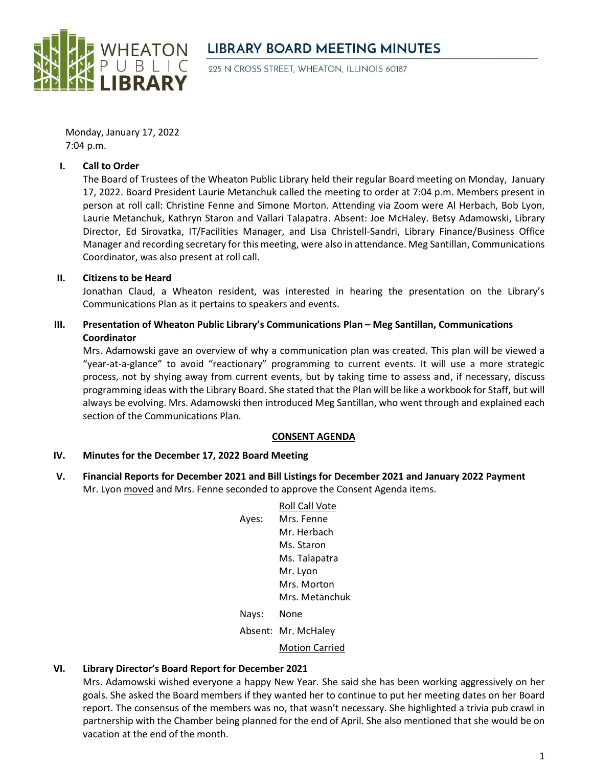

# **LIBRARY BOARD MEETING MINUTES**

225 N CROSS STREET, WHEATON, ILLINOIS 60187

Monday, January 17, 2022 7:04 p.m.

### **I. Call to Order**

The Board of Trustees of the Wheaton Public Library held their regular Board meeting on Monday, January 17, 2022. Board President Laurie Metanchuk called the meeting to order at 7:04 p.m. Members present in person at roll call: Christine Fenne and Simone Morton. Attending via Zoom were Al Herbach, Bob Lyon, Laurie Metanchuk, Kathryn Staron and Vallari Talapatra. Absent: Joe McHaley. Betsy Adamowski, Library Director, Ed Sirovatka, IT/Facilities Manager, and Lisa Christell-Sandri, Library Finance/Business Office Manager and recording secretary for this meeting, were also in attendance. Meg Santillan, Communications Coordinator, was also present at roll call.

### **II. Citizens to be Heard**

Jonathan Claud, a Wheaton resident, was interested in hearing the presentation on the Library's Communications Plan as it pertains to speakers and events.

## **III. Presentation of Wheaton Public Library's Communications Plan – Meg Santillan, Communications Coordinator**

Mrs. Adamowski gave an overview of why a communication plan was created. This plan will be viewed a "year-at-a-glance" to avoid "reactionary" programming to current events. It will use a more strategic process, not by shying away from current events, but by taking time to assess and, if necessary, discuss programming ideas with the Library Board. She stated that the Plan will be like a workbook for Staff, but will always be evolving. Mrs. Adamowski then introduced Meg Santillan, who went through and explained each section of the Communications Plan.

## **CONSENT AGENDA**

## **IV. Minutes for the December 17, 2022 Board Meeting**

**V. Financial Reports for December 2021 and Bill Listings for December 2021 and January 2022 Payment** Mr. Lyon moved and Mrs. Fenne seconded to approve the Consent Agenda items.

> Roll Call Vote Ayes: Mrs. Fenne Mr. Herbach Ms. Staron Ms. Talapatra Mr. Lyon Mrs. Morton Mrs. Metanchuk Nays: None Absent: Mr. McHaley Motion Carried

## **VI. Library Director's Board Report for December 2021**

Mrs. Adamowski wished everyone a happy New Year. She said she has been working aggressively on her goals. She asked the Board members if they wanted her to continue to put her meeting dates on her Board report. The consensus of the members was no, that wasn't necessary. She highlighted a trivia pub crawl in partnership with the Chamber being planned for the end of April. She also mentioned that she would be on vacation at the end of the month.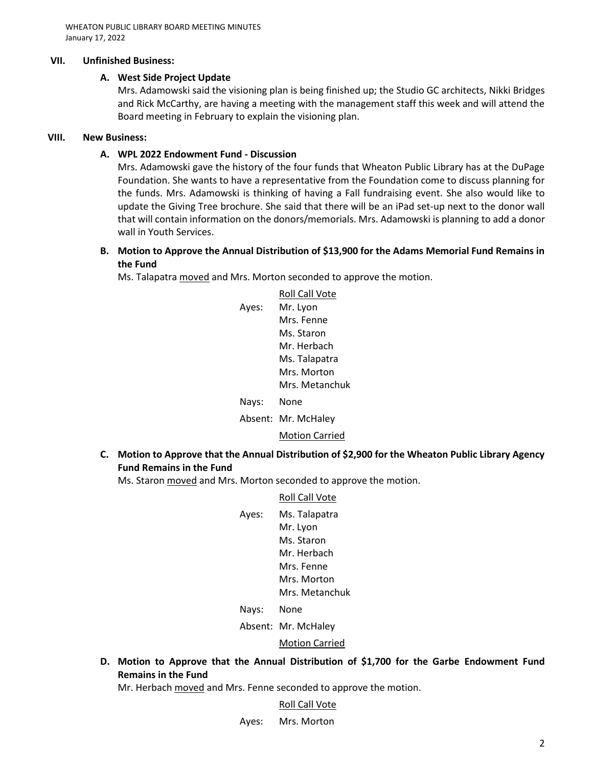WHEATON PUBLIC LIBRARY BOARD MEETING MINUTES January 17, 2022

#### **VII. Unfinished Business:**

### **A. West Side Project Update**

Mrs. Adamowski said the visioning plan is being finished up; the Studio GC architects, Nikki Bridges and Rick McCarthy, are having a meeting with the management staff this week and will attend the Board meeting in February to explain the visioning plan.

#### **VIII. New Business:**

## **A. WPL 2022 Endowment Fund - Discussion**

Mrs. Adamowski gave the history of the four funds that Wheaton Public Library has at the DuPage Foundation. She wants to have a representative from the Foundation come to discuss planning for the funds. Mrs. Adamowski is thinking of having a Fall fundraising event. She also would like to update the Giving Tree brochure. She said that there will be an iPad set-up next to the donor wall that will contain information on the donors/memorials. Mrs. Adamowski is planning to add a donor wall in Youth Services.

## **B. Motion to Approve the Annual Distribution of \$13,900 for the Adams Memorial Fund Remains in the Fund**

Ms. Talapatra moved and Mrs. Morton seconded to approve the motion.

|       | Roll Call Vote      |
|-------|---------------------|
| Ayes: | Mr. Lyon            |
|       | Mrs. Fenne          |
|       | Ms. Staron          |
|       | Mr. Herbach         |
|       | Ms. Talapatra       |
|       | Mrs. Morton         |
|       | Mrs. Metanchuk      |
| Nays: | None                |
|       | Absent: Mr. McHaley |

Motion Carried

**C. Motion to Approve that the Annual Distribution of \$2,900 for the Wheaton Public Library Agency Fund Remains in the Fund**

Ms. Staron moved and Mrs. Morton seconded to approve the motion.

Roll Call Vote Ayes: Ms. Talapatra Mr. Lyon Ms. Staron Mr. Herbach Mrs. Fenne Mrs. Morton Mrs. Metanchuk

Nays: None

Absent: Mr. McHaley

#### Motion Carried

**D. Motion to Approve that the Annual Distribution of \$1,700 for the Garbe Endowment Fund Remains in the Fund**

Mr. Herbach moved and Mrs. Fenne seconded to approve the motion.

## Roll Call Vote

#### Ayes: Mrs. Morton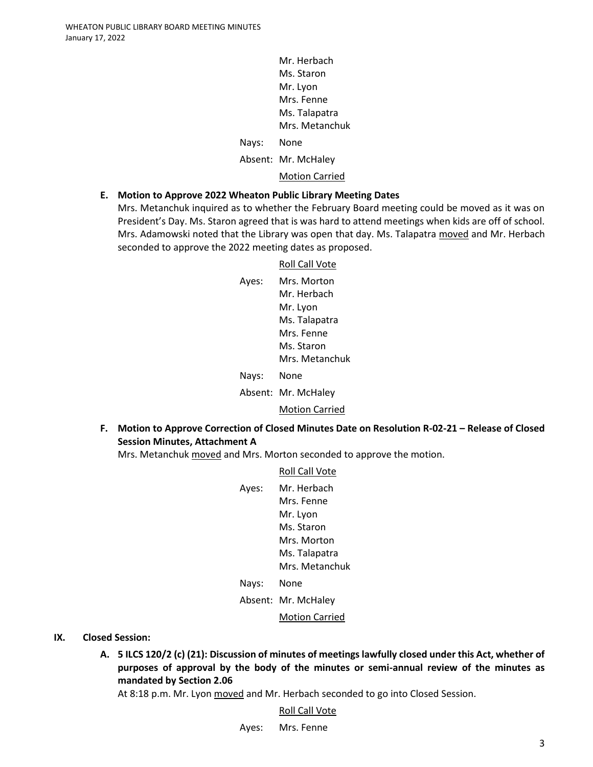Mr. Herbach Ms. Staron Mr. Lyon Mrs. Fenne Ms. Talapatra Mrs. Metanchuk

Nays: None

Absent: Mr. McHaley

Motion Carried

### **E. Motion to Approve 2022 Wheaton Public Library Meeting Dates**

Mrs. Metanchuk inquired as to whether the February Board meeting could be moved as it was on President's Day. Ms. Staron agreed that is was hard to attend meetings when kids are off of school. Mrs. Adamowski noted that the Library was open that day. Ms. Talapatra moved and Mr. Herbach seconded to approve the 2022 meeting dates as proposed.

#### Roll Call Vote

Ayes: Mrs. Morton Mr. Herbach Mr. Lyon Ms. Talapatra Mrs. Fenne Ms. Staron Mrs. Metanchuk Nays: None

Absent: Mr. McHaley

Motion Carried

**F. Motion to Approve Correction of Closed Minutes Date on Resolution R-02-21 – Release of Closed Session Minutes, Attachment A**

Mrs. Metanchuk moved and Mrs. Morton seconded to approve the motion.

Roll Call Vote

|       | Roll Call Vote      |
|-------|---------------------|
| Ayes: | Mr. Herbach         |
|       | Mrs. Fenne          |
|       | Mr. Lyon            |
|       | Ms. Staron          |
|       | Mrs. Morton         |
|       | Ms. Talapatra       |
|       | Mrs. Metanchuk      |
| Nays: | None                |
|       | Absent: Mr. McHaley |
|       | Motion Carried      |

#### **IX. Closed Session:**

**A. 5 ILCS 120/2 (c) (21): Discussion of minutes of meetings lawfully closed under this Act, whether of purposes of approval by the body of the minutes or semi-annual review of the minutes as mandated by Section 2.06**

At 8:18 p.m. Mr. Lyon moved and Mr. Herbach seconded to go into Closed Session.

Roll Call Vote

Ayes: Mrs. Fenne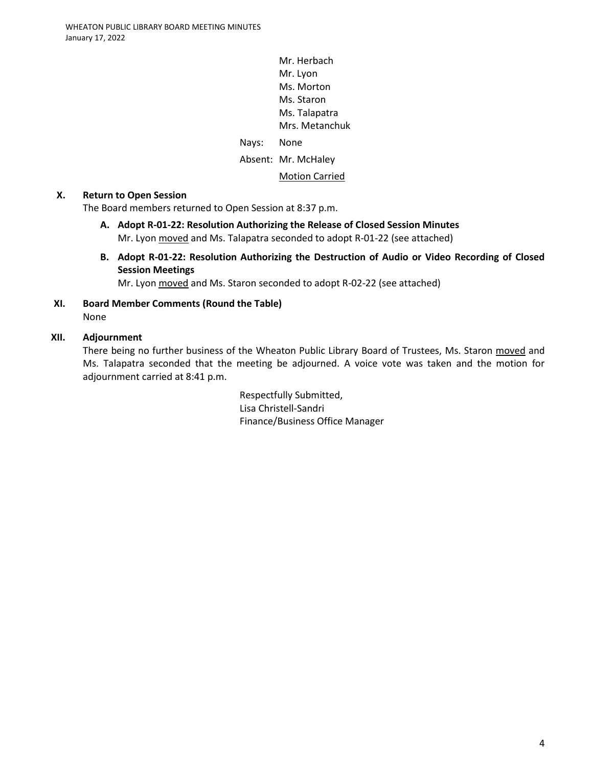Mr. Herbach Mr. Lyon Ms. Morton Ms. Staron Ms. Talapatra Mrs. Metanchuk

Nays: None

Absent: Mr. McHaley

Motion Carried

## **X. Return to Open Session**

The Board members returned to Open Session at 8:37 p.m.

- **A. Adopt R-01-22: Resolution Authorizing the Release of Closed Session Minutes** Mr. Lyon moved and Ms. Talapatra seconded to adopt R-01-22 (see attached)
- **B. Adopt R-01-22: Resolution Authorizing the Destruction of Audio or Video Recording of Closed Session Meetings**

Mr. Lyon moved and Ms. Staron seconded to adopt R-02-22 (see attached)

**XI. Board Member Comments (Round the Table)** None

## **XII. Adjournment**

There being no further business of the Wheaton Public Library Board of Trustees, Ms. Staron moved and Ms. Talapatra seconded that the meeting be adjourned. A voice vote was taken and the motion for adjournment carried at 8:41 p.m.

> Respectfully Submitted, Lisa Christell-Sandri Finance/Business Office Manager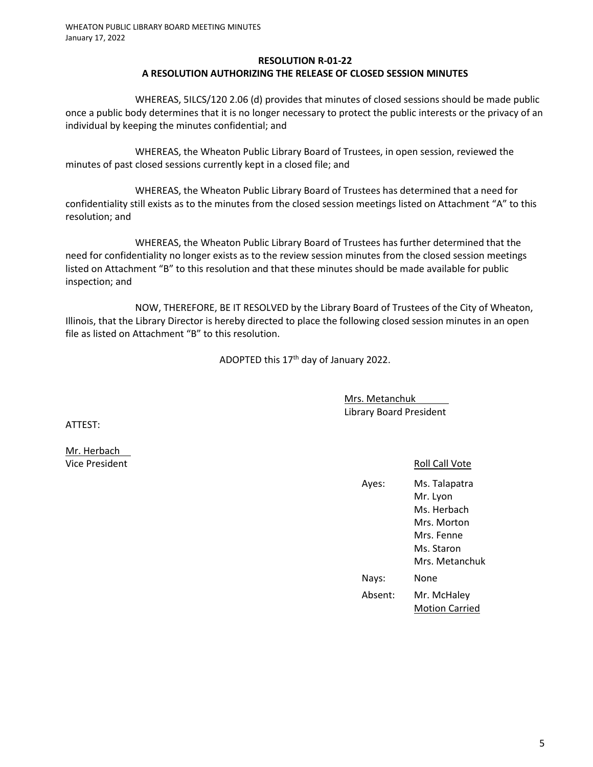## **RESOLUTION R-01-22 A RESOLUTION AUTHORIZING THE RELEASE OF CLOSED SESSION MINUTES**

WHEREAS, 5ILCS/120 2.06 (d) provides that minutes of closed sessions should be made public once a public body determines that it is no longer necessary to protect the public interests or the privacy of an individual by keeping the minutes confidential; and

WHEREAS, the Wheaton Public Library Board of Trustees, in open session, reviewed the minutes of past closed sessions currently kept in a closed file; and

WHEREAS, the Wheaton Public Library Board of Trustees has determined that a need for confidentiality still exists as to the minutes from the closed session meetings listed on Attachment "A" to this resolution; and

WHEREAS, the Wheaton Public Library Board of Trustees has further determined that the need for confidentiality no longer exists as to the review session minutes from the closed session meetings listed on Attachment "B" to this resolution and that these minutes should be made available for public inspection; and

NOW, THEREFORE, BE IT RESOLVED by the Library Board of Trustees of the City of Wheaton, Illinois, that the Library Director is hereby directed to place the following closed session minutes in an open file as listed on Attachment "B" to this resolution.

ADOPTED this 17th day of January 2022.

Mrs. Metanchuk Library Board President

ATTEST:

Mr. Herbach Vice President **Roll Call Vote Roll Call Vote** 

| Aves:   | Ms. Talapatra         |
|---------|-----------------------|
|         | Mr. Lyon              |
|         | Ms. Herhach           |
|         | Mrs. Morton           |
|         | Mrs. Fenne            |
|         | Ms. Staron            |
|         | Mrs. Metanchuk        |
| Nays:   | None                  |
| Absent: | Mr. McHaley           |
|         | <b>Motion Carried</b> |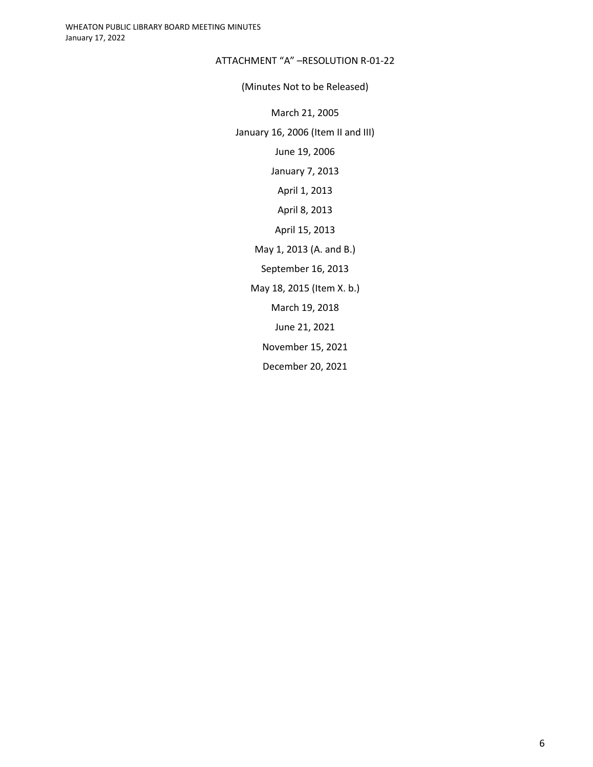## ATTACHMENT "A" –RESOLUTION R-01-22

(Minutes Not to be Released)

March 21, 2005

January 16, 2006 (Item II and III)

June 19, 2006

January 7, 2013

April 1, 2013

April 8, 2013

April 15, 2013

May 1, 2013 (A. and B.)

September 16, 2013

May 18, 2015 (Item X. b.)

March 19, 2018

June 21, 2021

November 15, 2021

December 20, 2021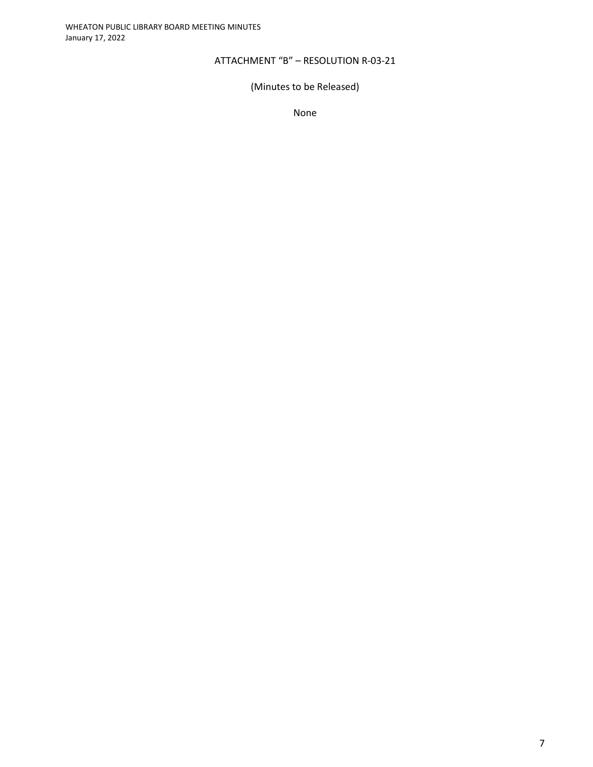## ATTACHMENT "B" – RESOLUTION R-03-21

## (Minutes to be Released)

None